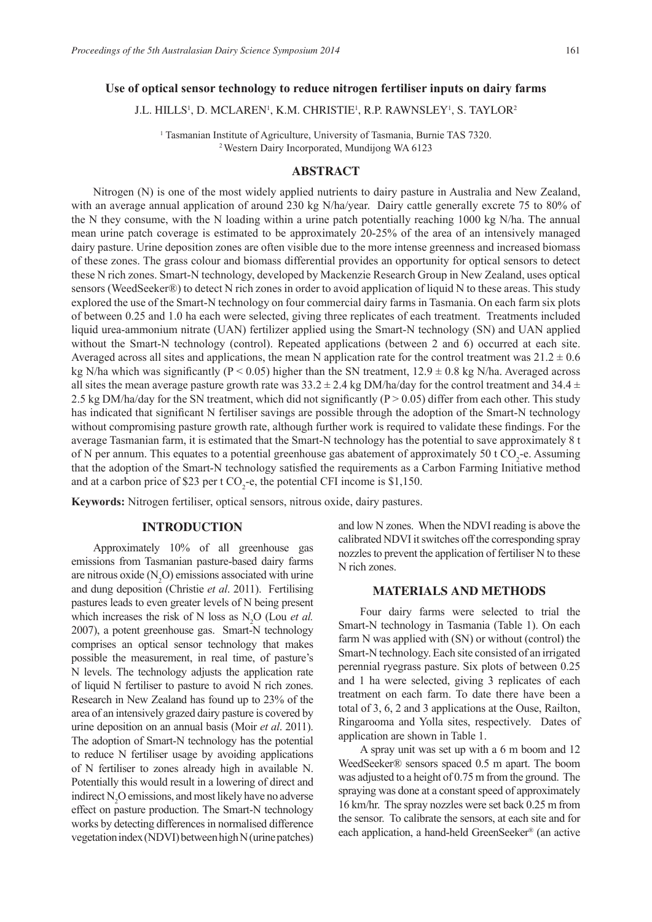## **Use of optical sensor technology to reduce nitrogen fertiliser inputs on dairy farms**

J.L. HILLS<sup>1</sup>, D. MCLAREN<sup>1</sup>, K.M. CHRISTIE<sup>1</sup>, R.P. RAWNSLEY<sup>1</sup>, S. TAYLOR<sup>2</sup>

<sup>1</sup> Tasmanian Institute of Agriculture, University of Tasmania, Burnie TAS 7320.<br><sup>2</sup> Western Dairy Incorporated, Mundijong WA 6123

## **ABSTRACT**

Nitrogen (N) is one of the most widely applied nutrients to dairy pasture in Australia and New Zealand, with an average annual application of around 230 kg N/ha/year. Dairy cattle generally excrete 75 to 80% of the N they consume, with the N loading within a urine patch potentially reaching 1000 kg N/ha. The annual mean urine patch coverage is estimated to be approximately 20-25% of the area of an intensively managed dairy pasture. Urine deposition zones are often visible due to the more intense greenness and increased biomass of these zones. The grass colour and biomass differential provides an opportunity for optical sensors to detect these N rich zones. Smart-N technology, developed by Mackenzie Research Group in New Zealand, uses optical sensors (WeedSeeker®) to detect N rich zones in order to avoid application of liquid N to these areas. This study explored the use of the Smart-N technology on four commercial dairy farms in Tasmania. On each farm six plots of between 0.25 and 1.0 ha each were selected, giving three replicates of each treatment. Treatments included liquid urea-ammonium nitrate (UAN) fertilizer applied using the Smart-N technology (SN) and UAN applied without the Smart-N technology (control). Repeated applications (between 2 and 6) occurred at each site. Averaged across all sites and applications, the mean N application rate for the control treatment was  $21.2 \pm 0.6$ kg N/ha which was significantly (P < 0.05) higher than the SN treatment,  $12.9 \pm 0.8$  kg N/ha. Averaged across all sites the mean average pasture growth rate was  $33.2 \pm 2.4$  kg DM/ha/day for the control treatment and  $34.4 \pm$ 2.5 kg DM/ha/day for the SN treatment, which did not significantly  $(P > 0.05)$  differ from each other. This study has indicated that significant N fertiliser savings are possible through the adoption of the Smart-N technology without compromising pasture growth rate, although further work is required to validate these findings. For the average Tasmanian farm, it is estimated that the Smart-N technology has the potential to save approximately 8 t of N per annum. This equates to a potential greenhouse gas abatement of approximately 50 t  $CO_2$ -e. Assuming that the adoption of the Smart-N technology satisfied the requirements as a Carbon Farming Initiative method and at a carbon price of \$23 per t  $CO_2$ -e, the potential CFI income is \$1,150.

**Keywords:** Nitrogen fertiliser, optical sensors, nitrous oxide, dairy pastures.

## **INTRODUCTION**

Approximately 10% of all greenhouse gas emissions from Tasmanian pasture-based dairy farms are nitrous oxide  $(N_2O)$  emissions associated with urine and dung deposition (Christie *et al*. 2011). Fertilising pastures leads to even greater levels of N being present which increases the risk of N loss as  $N_2O$  (Lou *et al.*) 2007), a potent greenhouse gas. Smart-N technology comprises an optical sensor technology that makes possible the measurement, in real time, of pasture's N levels. The technology adjusts the application rate of liquid N fertiliser to pasture to avoid N rich zones. Research in New Zealand has found up to 23% of the area of an intensively grazed dairy pasture is covered by urine deposition on an annual basis (Moir *et al*. 2011). The adoption of Smart-N technology has the potential to reduce N fertiliser usage by avoiding applications of N fertiliser to zones already high in available N. Potentially this would result in a lowering of direct and indirect  $N_2$ O emissions, and most likely have no adverse effect on pasture production. The Smart-N technology works by detecting differences in normalised difference vegetation index (NDVI) between high N (urine patches)

and low N zones. When the NDVI reading is above the calibrated NDVI it switches off the corresponding spray nozzles to prevent the application of fertiliser N to these N rich zones.

#### **MATERIALS AND METHODS**

Four dairy farms were selected to trial the Smart-N technology in Tasmania (Table 1). On each farm N was applied with (SN) or without (control) the Smart-N technology. Each site consisted of an irrigated perennial ryegrass pasture. Six plots of between 0.25 and 1 ha were selected, giving 3 replicates of each treatment on each farm. To date there have been a total of 3, 6, 2 and 3 applications at the Ouse, Railton, Ringarooma and Yolla sites, respectively. Dates of application are shown in Table 1.

A spray unit was set up with a 6 m boom and 12 WeedSeeker® sensors spaced 0.5 m apart. The boom was adjusted to a height of 0.75 m from the ground. The spraying was done at a constant speed of approximately 16 km/hr. The spray nozzles were set back 0.25 m from the sensor. To calibrate the sensors, at each site and for each application, a hand-held GreenSeeker® (an active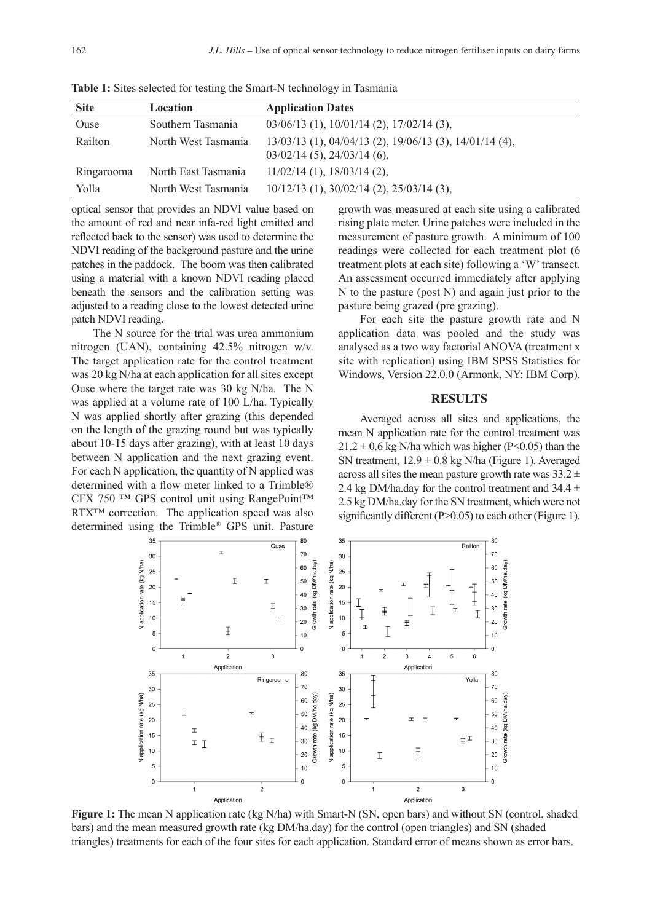| <b>Site</b> | Location            | <b>Application Dates</b>                                                                   |
|-------------|---------------------|--------------------------------------------------------------------------------------------|
| Ouse        | Southern Tasmania   | $03/06/13$ (1), $10/01/14$ (2), $17/02/14$ (3),                                            |
| Railton     | North West Tasmania | $13/03/13$ (1), 04/04/13 (2), 19/06/13 (3), 14/01/14 (4),<br>$03/02/14$ (5), 24/03/14 (6), |
| Ringarooma  | North East Tasmania | $11/02/14$ (1), $18/03/14$ (2),                                                            |
| Yolla       | North West Tasmania | $10/12/13$ (1), $30/02/14$ (2), $25/03/14$ (3),                                            |

**Table 1:** Sites selected for testing the Smart-N technology in Tasmania

optical sensor that provides an NDVI value based on the amount of red and near infa-red light emitted and reflected back to the sensor) was used to determine the NDVI reading of the background pasture and the urine patches in the paddock. The boom was then calibrated using a material with a known NDVI reading placed beneath the sensors and the calibration setting was adjusted to a reading close to the lowest detected urine patch NDVI reading.

The N source for the trial was urea ammonium nitrogen (UAN), containing 42.5% nitrogen w/v. The target application rate for the control treatment was 20 kg N/ha at each application for all sites except Ouse where the target rate was 30 kg N/ha. The N was applied at a volume rate of 100 L/ha. Typically N was applied shortly after grazing (this depended on the length of the grazing round but was typically about 10-15 days after grazing), with at least 10 days between N application and the next grazing event. For each N application, the quantity of N applied was determined with a flow meter linked to a Trimble® CFX 750 ™ GPS control unit using RangePoint™ RTX™ correction. The application speed was also determined using the Trimble® GPS unit. Pasture

growth was measured at each site using a calibrated rising plate meter. Urine patches were included in the measurement of pasture growth. A minimum of 100 readings were collected for each treatment plot (6 treatment plots at each site) following a 'W' transect. An assessment occurred immediately after applying N to the pasture (post N) and again just prior to the pasture being grazed (pre grazing).

For each site the pasture growth rate and N application data was pooled and the study was analysed as a two way factorial ANOVA (treatment x site with replication) using IBM SPSS Statistics for Windows, Version 22.0.0 (Armonk, NY: IBM Corp).

#### **RESULTS**

Averaged across all sites and applications, the mean N application rate for the control treatment was  $21.2 \pm 0.6$  kg N/ha which was higher (P<0.05) than the SN treatment,  $12.9 \pm 0.8$  kg N/ha (Figure 1). Averaged across all sites the mean pasture growth rate was  $33.2 \pm$ 2.4 kg DM/ha.day for the control treatment and  $34.4 \pm$ 2.5 kg DM/ha.day for the SN treatment, which were not significantly different  $(P>0.05)$  to each other (Figure 1).



**Figure 1:** The mean N application rate (kg N/ha) with Smart-N (SN, open bars) and without SN (control, shaded bars) and the mean measured growth rate (kg DM/ha.day) for the control (open triangles) and SN (shaded triangles) treatments for each of the four sites for each application. Standard error of means shown as error bars.